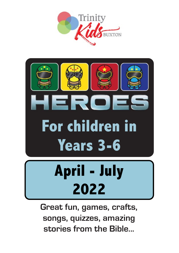



**Great fun, games, crafts, songs, quizzes, amazing stories from the Bible...**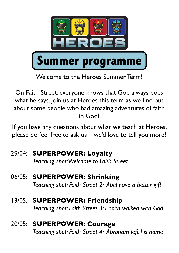

Welcome to the Heroes Summer Term!

On Faith Street, everyone knows that God always does what he says. Join us at Heroes this term as we find out about some people who had amazing adventures of faith in God!

If you have any questions about what we teach at Heroes, please do feel free to ask us – we'd love to tell you more!

- 29/04: **SUPERPOWER: Loyalty** *Teaching spot: Welcome to Faith Street*
- 06/05: **SUPERPOWER: Shrinking** *Teaching spot: Faith Street 2: Abel gave a better gift*
- 13/05: **SUPERPOWER: Friendship** *Teaching spot: Faith Street 3: Enoch walked with God*
- 20/05: **SUPERPOWER: Courage** *Teaching spot: Faith Street 4: Abraham left his home*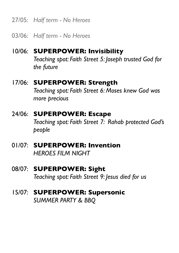27/05: *Half term - No Heroes*

03/06: *Half term - No Heroes*

## 10/06: **SUPERPOWER: Invisibility** *Teaching spot: Faith Street 5: Joseph trusted God for the future*

### 17/06: **SUPERPOWER: Strength** *Teaching spot: Faith Street 6: Moses knew God was more precious*

### 24/06: **SUPERPOWER: Escape** *Teaching spot: Faith Street 7: Rahab protected God's people*

01/07: **SUPERPOWER: Invention** *HEROES FILM NIGHT* 

### 08/07: **SUPERPOWER: Sight** *Teaching spot: Faith Street 9: Jesus died for us*

### 15/07: **SUPERPOWER: Supersonic** *SUMMER PARTY & BBQ*